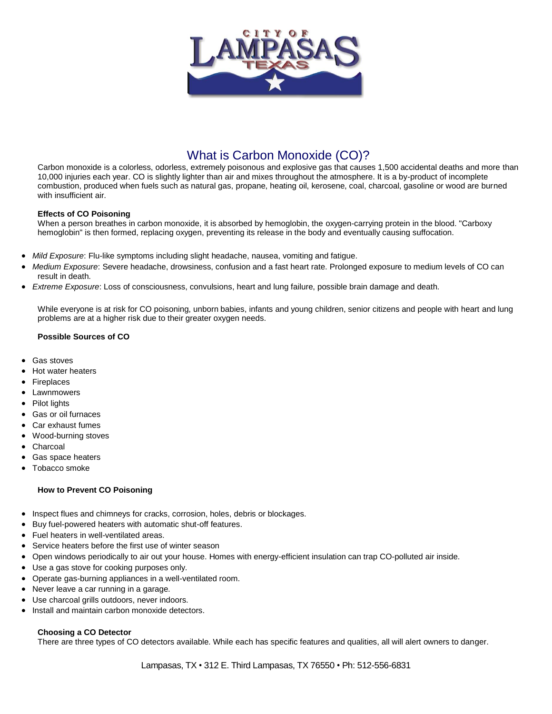

# What is Carbon Monoxide (CO)?

Carbon monoxide is a colorless, odorless, extremely poisonous and explosive gas that causes 1,500 accidental deaths and more than 10,000 injuries each year. CO is slightly lighter than air and mixes throughout the atmosphere. It is a by-product of incomplete combustion, produced when fuels such as natural gas, propane, heating oil, kerosene, coal, charcoal, gasoline or wood are burned with insufficient air.

# **Effects of CO Poisoning**

When a person breathes in carbon monoxide, it is absorbed by hemoglobin, the oxygen-carrying protein in the blood. "Carboxy hemoglobin" is then formed, replacing oxygen, preventing its release in the body and eventually causing suffocation.

- *Mild Exposure*: Flu-like symptoms including slight headache, nausea, vomiting and fatigue.
- *Medium Exposure*: Severe headache, drowsiness, confusion and a fast heart rate. Prolonged exposure to medium levels of CO can result in death.
- *Extreme Exposure*: Loss of consciousness, convulsions, heart and lung failure, possible brain damage and death.

While everyone is at risk for CO poisoning, unborn babies, infants and young children, senior citizens and people with heart and lung problems are at a higher risk due to their greater oxygen needs.

## **Possible Sources of CO**

- Gas stoves
- Hot water heaters
- Fireplaces
- Lawnmowers
- Pilot lights
- Gas or oil furnaces
- Car exhaust fumes
- Wood-burning stoves
- Charcoal
- Gas space heaters
- Tobacco smoke

## **How to Prevent CO Poisoning**

- Inspect flues and chimneys for cracks, corrosion, holes, debris or blockages.
- Buy fuel-powered heaters with automatic shut-off features.
- Fuel heaters in well-ventilated areas.
- Service heaters before the first use of winter season
- Open windows periodically to air out your house. Homes with energy-efficient insulation can trap CO-polluted air inside.
- Use a gas stove for cooking purposes only.
- Operate gas-burning appliances in a well-ventilated room.
- Never leave a car running in a garage.
- Use charcoal grills outdoors, never indoors.
- Install and maintain carbon monoxide detectors.

## **Choosing a CO Detector**

There are three types of CO detectors available. While each has specific features and qualities, all will alert owners to danger.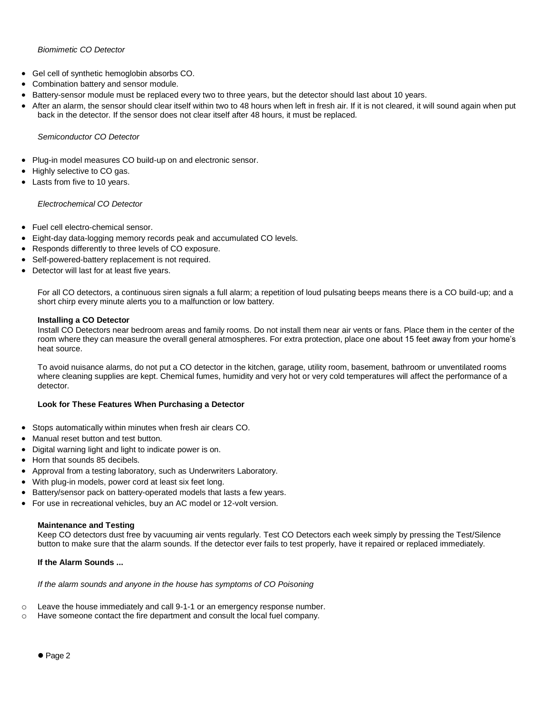# *Biomimetic CO Detector*

- Gel cell of synthetic hemoglobin absorbs CO.
- Combination battery and sensor module.
- Battery-sensor module must be replaced every two to three years, but the detector should last about 10 years.
- After an alarm, the sensor should clear itself within two to 48 hours when left in fresh air. If it is not cleared, it will sound again when put back in the detector. If the sensor does not clear itself after 48 hours, it must be replaced.

## *Semiconductor CO Detector*

- Plug-in model measures CO build-up on and electronic sensor.
- Highly selective to CO gas.
- Lasts from five to 10 years.

## *Electrochemical CO Detector*

- Fuel cell electro-chemical sensor.
- Eight-day data-logging memory records peak and accumulated CO levels.
- Responds differently to three levels of CO exposure.
- Self-powered-battery replacement is not required.
- Detector will last for at least five years.

For all CO detectors, a continuous siren signals a full alarm; a repetition of loud pulsating beeps means there is a CO build-up; and a short chirp every minute alerts you to a malfunction or low battery.

#### **Installing a CO Detector**

Install CO Detectors near bedroom areas and family rooms. Do not install them near air vents or fans. Place them in the center of the room where they can measure the overall general atmospheres. For extra protection, place one about 15 feet away from your home's heat source.

To avoid nuisance alarms, do not put a CO detector in the kitchen, garage, utility room, basement, bathroom or unventilated rooms where cleaning supplies are kept. Chemical fumes, humidity and very hot or very cold temperatures will affect the performance of a detector.

## **Look for These Features When Purchasing a Detector**

- Stops automatically within minutes when fresh air clears CO.
- Manual reset button and test button.
- Digital warning light and light to indicate power is on.
- Horn that sounds 85 decibels.
- Approval from a testing laboratory, such as Underwriters Laboratory.
- With plug-in models, power cord at least six feet long.
- Battery/sensor pack on battery-operated models that lasts a few years.
- For use in recreational vehicles, buy an AC model or 12-volt version.

#### **Maintenance and Testing**

Keep CO detectors dust free by vacuuming air vents regularly. Test CO Detectors each week simply by pressing the Test/Silence button to make sure that the alarm sounds. If the detector ever fails to test properly, have it repaired or replaced immediately.

## **If the Alarm Sounds ...**

*If the alarm sounds and anyone in the house has symptoms of CO Poisoning*

- $\circ$  Leave the house immediately and call 9-1-1 or an emergency response number.
- o Have someone contact the fire department and consult the local fuel company.